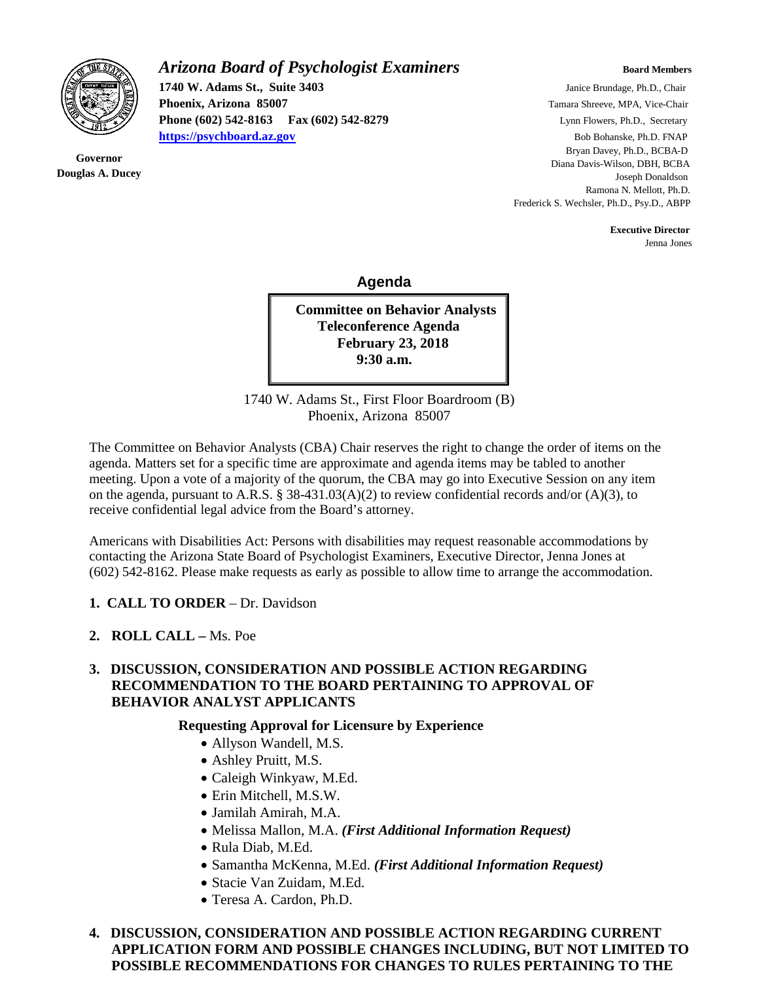

**Governor Douglas A. Ducey**

## *Arizona Board of Psychologist Examiners* **Board Members Board Members**

**1740 W. Adams St., Suite 3403** Janice Brundage, Ph.D., Chair **Phoenix, Arizona 85007 Tamara Shreeve, MPA, Vice-Chair Phoenix, Arizona 85007 Tamara Shreeve, MPA, Vice-Chair Phone (602) 542-8163 Fax (602) 542-8279** Lynn Flowers, Ph.D., Secretary **[https://psychboard.az.gov](https://psychboard.az.gov/)** Bob Bohanske, Ph.D. FNAP

 Bryan Davey, Ph.D., BCBA-D Diana Davis-Wilson, DBH, BCBA Joseph Donaldson Ramona N. Mellott, Ph.D. Frederick S. Wechsler, Ph.D., Psy.D., ABPP

 **Executive Director** Jenna Jones

 **Agenda**

**Committee on Behavior Analysts Teleconference Agenda February 23, 2018 9:30 a.m.**

1740 W. Adams St., First Floor Boardroom (B) Phoenix, Arizona 85007

The Committee on Behavior Analysts (CBA) Chair reserves the right to change the order of items on the agenda. Matters set for a specific time are approximate and agenda items may be tabled to another meeting. Upon a vote of a majority of the quorum, the CBA may go into Executive Session on any item on the agenda, pursuant to A.R.S. § 38-431.03(A)(2) to review confidential records and/or (A)(3), to receive confidential legal advice from the Board's attorney.

Americans with Disabilities Act: Persons with disabilities may request reasonable accommodations by contacting the Arizona State Board of Psychologist Examiners, Executive Director, Jenna Jones at (602) 542-8162. Please make requests as early as possible to allow time to arrange the accommodation.

- **1. CALL TO ORDER** Dr. Davidson
- **2. ROLL CALL –** Ms. Poe

## **3. DISCUSSION, CONSIDERATION AND POSSIBLE ACTION REGARDING RECOMMENDATION TO THE BOARD PERTAINING TO APPROVAL OF BEHAVIOR ANALYST APPLICANTS**

## **Requesting Approval for Licensure by Experience**

- Allyson Wandell, M.S.
- Ashley Pruitt, M.S.
- Caleigh Winkyaw, M.Ed.
- Erin Mitchell, M.S.W.
- Jamilah Amirah, M.A.
- Melissa Mallon, M.A. *(First Additional Information Request)*
- Rula Diab, M.Ed.
- Samantha McKenna, M.Ed. *(First Additional Information Request)*
- Stacie Van Zuidam, M.Ed.
- Teresa A. Cardon, Ph.D.

**4. DISCUSSION, CONSIDERATION AND POSSIBLE ACTION REGARDING CURRENT APPLICATION FORM AND POSSIBLE CHANGES INCLUDING, BUT NOT LIMITED TO POSSIBLE RECOMMENDATIONS FOR CHANGES TO RULES PERTAINING TO THE**